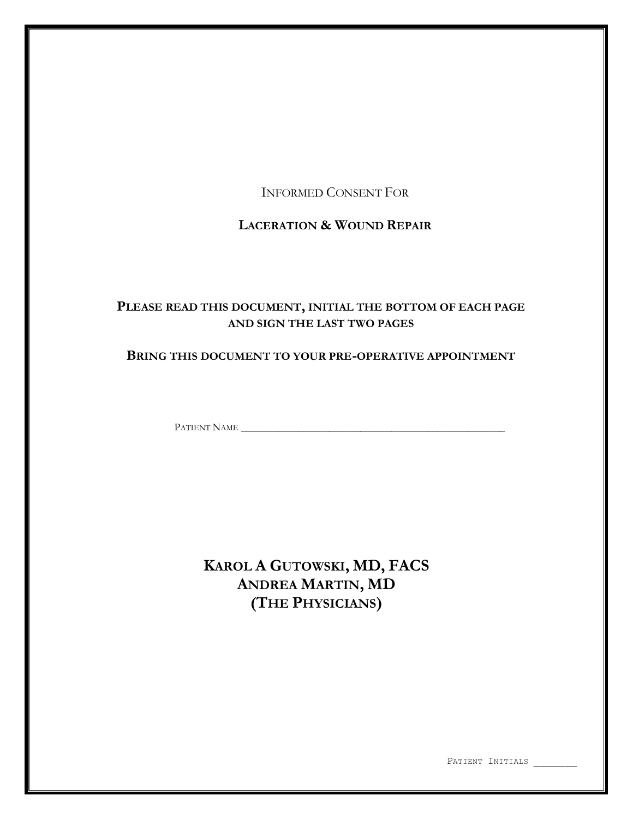INFORMED CONSENT FOR

# **LACERATION & WOUND REPAIR**

# **PLEASE READ THIS DOCUMENT, INITIAL THE BOTTOM OF EACH PAGE AND SIGN THE LAST TWO PAGES**

# **BRING THIS DOCUMENT TO YOUR PRE-OPERATIVE APPOINTMENT**

PATIENT NAME \_\_\_\_\_\_\_\_\_\_\_\_\_\_\_\_\_\_\_\_\_\_\_\_\_\_\_\_\_\_\_\_\_\_\_\_\_\_\_\_\_\_\_\_\_\_\_\_\_\_\_

**KAROL A GUTOWSKI, MD, FACS ANDREA MARTIN, MD (THE PHYSICIANS)**

PATIENT INITIALS \_\_\_\_\_\_\_\_\_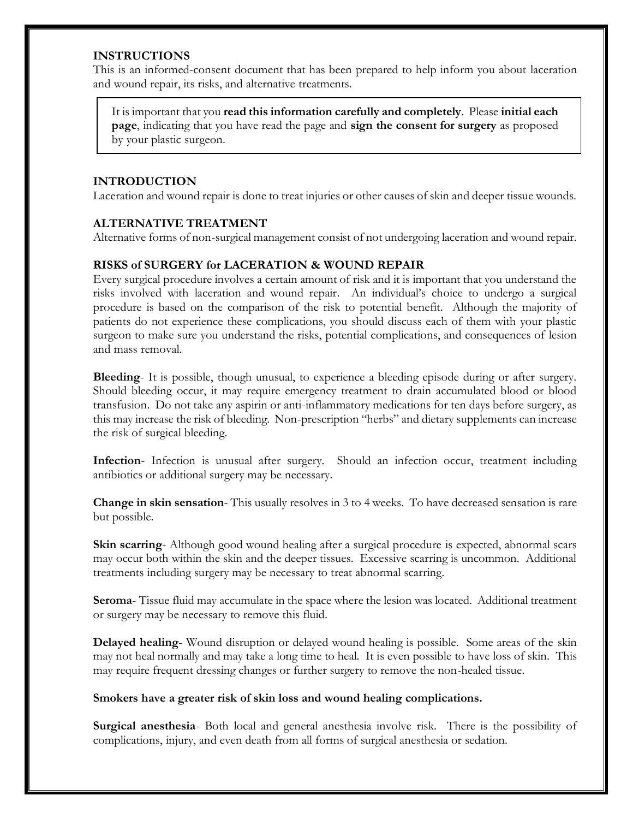## **INSTRUCTIONS**

This is an informed-consent document that has been prepared to help inform you about laceration and wound repair, its risks, and alternative treatments.

It is important that you **read this information carefully and completely**. Please **initial each page**, indicating that you have read the page and **sign the consent for surgery** as proposed by your plastic surgeon.

## **INTRODUCTION**

Laceration and wound repair is done to treat injuries or other causes of skin and deeper tissue wounds.

## **ALTERNATIVE TREATMENT**

Alternative forms of non-surgical management consist of not undergoing laceration and wound repair.

## **RISKS of SURGERY for LACERATION & WOUND REPAIR**

Every surgical procedure involves a certain amount of risk and it is important that you understand the risks involved with laceration and wound repair. An individual's choice to undergo a surgical procedure is based on the comparison of the risk to potential benefit. Although the majority of patients do not experience these complications, you should discuss each of them with your plastic surgeon to make sure you understand the risks, potential complications, and consequences of lesion and mass removal.

**Bleeding**- It is possible, though unusual, to experience a bleeding episode during or after surgery. Should bleeding occur, it may require emergency treatment to drain accumulated blood or blood transfusion. Do not take any aspirin or anti-inflammatory medications for ten days before surgery, as this may increase the risk of bleeding. Non-prescription "herbs" and dietary supplements can increase the risk of surgical bleeding.

**Infection**- Infection is unusual after surgery. Should an infection occur, treatment including antibiotics or additional surgery may be necessary.

**Change in skin sensation**- This usually resolves in 3 to 4 weeks. To have decreased sensation is rare but possible.

**Skin scarring**- Although good wound healing after a surgical procedure is expected, abnormal scars may occur both within the skin and the deeper tissues. Excessive scarring is uncommon. Additional treatments including surgery may be necessary to treat abnormal scarring.

**Seroma**- Tissue fluid may accumulate in the space where the lesion was located. Additional treatment or surgery may be necessary to remove this fluid.

**Delayed healing**- Wound disruption or delayed wound healing is possible. Some areas of the skin may not heal normally and may take a long time to heal. It is even possible to have loss of skin. This may require frequent dressing changes or further surgery to remove the non-healed tissue.

## **Smokers have a greater risk of skin loss and wound healing complications.**

**Surgical anesthesia**- Both local and general anesthesia involve risk. There is the possibility of complications, injury, and even death from all forms of surgical anesthesia or sedation.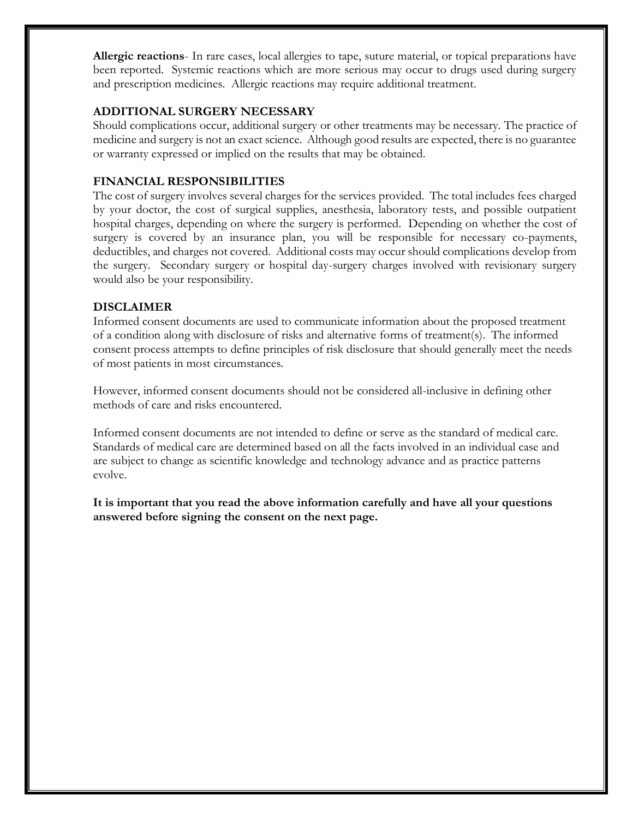**Allergic reactions**- In rare cases, local allergies to tape, suture material, or topical preparations have been reported. Systemic reactions which are more serious may occur to drugs used during surgery and prescription medicines. Allergic reactions may require additional treatment.

## **ADDITIONAL SURGERY NECESSARY**

Should complications occur, additional surgery or other treatments may be necessary. The practice of medicine and surgery is not an exact science. Although good results are expected, there is no guarantee or warranty expressed or implied on the results that may be obtained.

#### **FINANCIAL RESPONSIBILITIES**

The cost of surgery involves several charges for the services provided. The total includes fees charged by your doctor, the cost of surgical supplies, anesthesia, laboratory tests, and possible outpatient hospital charges, depending on where the surgery is performed. Depending on whether the cost of surgery is covered by an insurance plan, you will be responsible for necessary co-payments, deductibles, and charges not covered. Additional costs may occur should complications develop from the surgery. Secondary surgery or hospital day-surgery charges involved with revisionary surgery would also be your responsibility.

#### **DISCLAIMER**

Informed consent documents are used to communicate information about the proposed treatment of a condition along with disclosure of risks and alternative forms of treatment(s). The informed consent process attempts to define principles of risk disclosure that should generally meet the needs of most patients in most circumstances.

However, informed consent documents should not be considered all-inclusive in defining other methods of care and risks encountered.

Informed consent documents are not intended to define or serve as the standard of medical care. Standards of medical care are determined based on all the facts involved in an individual case and are subject to change as scientific knowledge and technology advance and as practice patterns evolve.

**It is important that you read the above information carefully and have all your questions answered before signing the consent on the next page.**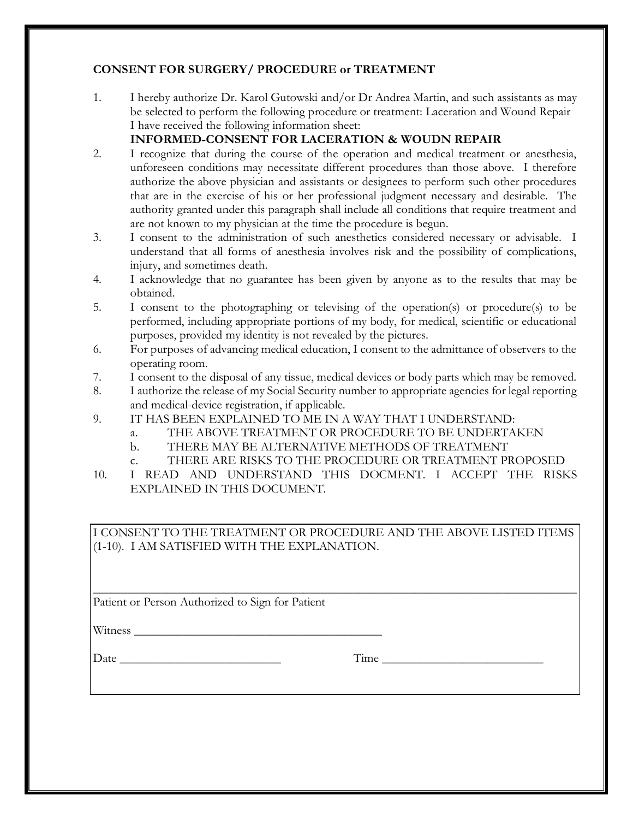# **CONSENT FOR SURGERY/ PROCEDURE or TREATMENT**

1. I hereby authorize Dr. Karol Gutowski and/or Dr Andrea Martin, and such assistants as may be selected to perform the following procedure or treatment: Laceration and Wound Repair I have received the following information sheet:

# **INFORMED-CONSENT FOR LACERATION & WOUDN REPAIR**

- 2. I recognize that during the course of the operation and medical treatment or anesthesia, unforeseen conditions may necessitate different procedures than those above. I therefore authorize the above physician and assistants or designees to perform such other procedures that are in the exercise of his or her professional judgment necessary and desirable. The authority granted under this paragraph shall include all conditions that require treatment and are not known to my physician at the time the procedure is begun.
- 3. I consent to the administration of such anesthetics considered necessary or advisable. I understand that all forms of anesthesia involves risk and the possibility of complications, injury, and sometimes death.
- 4. I acknowledge that no guarantee has been given by anyone as to the results that may be obtained.
- 5. I consent to the photographing or televising of the operation(s) or procedure(s) to be performed, including appropriate portions of my body, for medical, scientific or educational purposes, provided my identity is not revealed by the pictures.
- 6. For purposes of advancing medical education, I consent to the admittance of observers to the operating room.
- 7. I consent to the disposal of any tissue, medical devices or body parts which may be removed.
- 8. I authorize the release of my Social Security number to appropriate agencies for legal reporting and medical-device registration, if applicable.
- 9. IT HAS BEEN EXPLAINED TO ME IN A WAY THAT I UNDERSTAND:
	- a. THE ABOVE TREATMENT OR PROCEDURE TO BE UNDERTAKEN
	- b. THERE MAY BE ALTERNATIVE METHODS OF TREATMENT
	- c. THERE ARE RISKS TO THE PROCEDURE OR TREATMENT PROPOSED
- 10. I READ AND UNDERSTAND THIS DOCMENT. I ACCEPT THE RISKS EXPLAINED IN THIS DOCUMENT.

I CONSENT TO THE TREATMENT OR PROCEDURE AND THE ABOVE LISTED ITEMS (1-10). I AM SATISFIED WITH THE EXPLANATION.

\_\_\_\_\_\_\_\_\_\_\_\_\_\_\_\_\_\_\_\_\_\_\_\_\_\_\_\_\_\_\_\_\_\_\_\_\_\_\_\_\_\_\_\_\_\_\_\_\_\_\_\_\_\_\_\_\_\_\_\_\_\_\_\_\_\_\_\_\_\_\_\_\_\_\_\_\_\_

Patient or Person Authorized to Sign for Patient

Witness \_\_\_\_\_\_\_\_\_\_\_\_\_\_\_\_\_\_\_\_\_\_\_\_\_\_\_\_\_\_\_\_\_\_\_\_\_\_\_\_

Date \_\_\_\_\_\_\_\_\_\_\_\_\_\_\_\_\_\_\_\_\_\_\_\_\_\_ Time \_\_\_\_\_\_\_\_\_\_\_\_\_\_\_\_\_\_\_\_\_\_\_\_\_\_